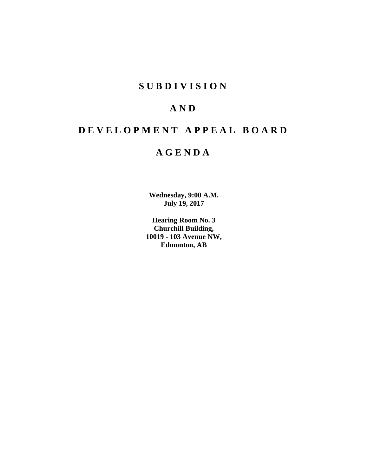# **SUBDIVISION**

# **AND**

# **DEVELOPMENT APPEAL BOARD**

# **AGENDA**

**Wednesday, 9:00 A.M. July 19, 2017**

**Hearing Room No. 3 Churchill Building, 10019 - 103 Avenue NW, Edmonton, AB**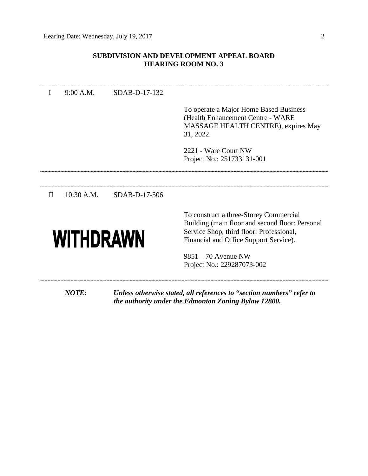# **SUBDIVISION AND DEVELOPMENT APPEAL BOARD HEARING ROOM NO. 3**

| T                | 9:00 A.M.    | SDAB-D-17-132 |                                                                                                                                                                                 |
|------------------|--------------|---------------|---------------------------------------------------------------------------------------------------------------------------------------------------------------------------------|
|                  |              |               | To operate a Major Home Based Business<br>(Health Enhancement Centre - WARE<br>MASSAGE HEALTH CENTRE), expires May<br>31, 2022.<br>2221 - Ware Court NW                         |
|                  |              |               | Project No.: 251733131-001                                                                                                                                                      |
|                  |              |               |                                                                                                                                                                                 |
| $\mathbf{I}$     | $10:30$ A.M. | SDAB-D-17-506 |                                                                                                                                                                                 |
| <b>WITHDRAWN</b> |              |               | To construct a three-Storey Commercial<br>Building (main floor and second floor: Personal<br>Service Shop, third floor: Professional,<br>Financial and Office Support Service). |
|                  |              |               | $9851 - 70$ Avenue NW<br>Project No.: 229287073-002                                                                                                                             |
|                  | <b>NOTE:</b> |               | Unless otherwise stated, all references to "section numbers" refer to<br>the authority under the Edmonton Zoning Bylaw 12800.                                                   |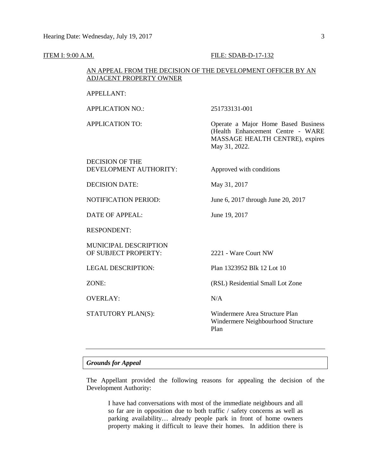#### **ITEM I: 9:00 A.M. FILE: SDAB-D-17-132**

# AN APPEAL FROM THE DECISION OF THE DEVELOPMENT OFFICER BY AN ADJACENT PROPERTY OWNER

### APPELLANT:

APPLICATION NO.: 251733131-001

APPLICATION TO: Operate a Major Home Based Business (Health Enhancement Centre - WARE MASSAGE HEALTH CENTRE), expires May 31, 2022.

# DECISION OF THE DEVELOPMENT AUTHORITY: Approved with conditions

DECISION DATE: May 31, 2017

NOTIFICATION PERIOD: June 6, 2017 through June 20, 2017

DATE OF APPEAL: June 19, 2017

RESPONDENT:

MUNICIPAL DESCRIPTION OF SUBJECT PROPERTY: 2221 - Ware Court NW

OVERLAY: N/A

LEGAL DESCRIPTION: Plan 1323952 Blk 12 Lot 10

ZONE: (RSL) Residential Small Lot Zone

STATUTORY PLAN(S): Windermere Area Structure Plan Windermere Neighbourhood Structure Plan

# *Grounds for Appeal*

The Appellant provided the following reasons for appealing the decision of the Development Authority:

I have had conversations with most of the immediate neighbours and all so far are in opposition due to both traffic / safety concerns as well as parking availability… already people park in front of home owners property making it difficult to leave their homes. In addition there is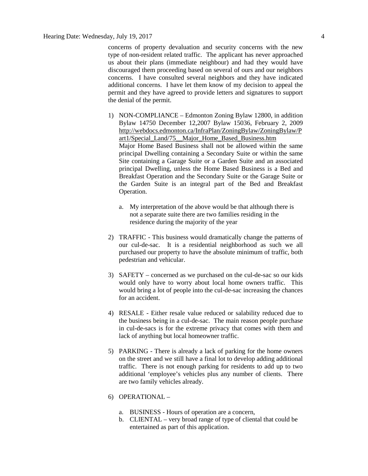concerns of property devaluation and security concerns with the new type of non-resident related traffic. The applicant has never approached us about their plans (immediate neighbour) and had they would have discouraged them proceeding based on several of ours and our neighbors concerns. I have consulted several neighbors and they have indicated additional concerns. I have let them know of my decision to appeal the permit and they have agreed to provide letters and signatures to support the denial of the permit.

- 1) NON-COMPLIANCE Edmonton Zoning Bylaw 12800, in addition Bylaw 14750 December 12,2007 Bylaw 15036, February 2, 2009 [http://webdocs.edmonton.ca/InfraPlan/ZoningBylaw/ZoningBylaw/P](http://webdocs.edmonton.ca/InfraPlan/ZoningBylaw/ZoningBylaw/Part1/Special_Land/75__Major_Home_Based_Business.htm) [art1/Special\\_Land/75\\_\\_Major\\_Home\\_Based\\_Business.htm](http://webdocs.edmonton.ca/InfraPlan/ZoningBylaw/ZoningBylaw/Part1/Special_Land/75__Major_Home_Based_Business.htm) Major Home Based Business shall not be allowed within the same principal Dwelling containing a Secondary Suite or within the same Site containing a Garage Suite or a Garden Suite and an associated principal Dwelling, unless the Home Based Business is a Bed and Breakfast Operation and the Secondary Suite or the Garage Suite or the Garden Suite is an integral part of the Bed and Breakfast Operation.
	- a. My interpretation of the above would be that although there is not a separate suite there are two families residing in the residence during the majority of the year
- 2) TRAFFIC This business would dramatically change the patterns of our cul-de-sac. It is a residential neighborhood as such we all purchased our property to have the absolute minimum of traffic, both pedestrian and vehicular.
- 3) SAFETY concerned as we purchased on the cul-de-sac so our kids would only have to worry about local home owners traffic. This would bring a lot of people into the cul-de-sac increasing the chances for an accident.
- 4) RESALE Either resale value reduced or salability reduced due to the business being in a cul-de-sac. The main reason people purchase in cul-de-sacs is for the extreme privacy that comes with them and lack of anything but local homeowner traffic.
- 5) PARKING There is already a lack of parking for the home owners on the street and we still have a final lot to develop adding additional traffic. There is not enough parking for residents to add up to two additional 'employee's vehicles plus any number of clients. There are two family vehicles already.
- 6) OPERATIONAL
	- a. BUSINESS Hours of operation are a concern,
	- b. CLIENTAL very broad range of type of cliental that could be entertained as part of this application.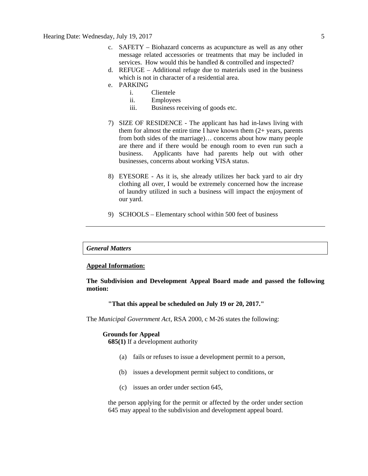- c. SAFETY Biohazard concerns as acupuncture as well as any other message related accessories or treatments that may be included in services. How would this be handled & controlled and inspected?
- d. REFUGE Additional refuge due to materials used in the business which is not in character of a residential area.
- e. PARKING
	- i. Clientele
	- ii. Employees
	- iii. Business receiving of goods etc.
- 7) SIZE OF RESIDENCE The applicant has had in-laws living with them for almost the entire time I have known them  $(2 + \gamma)$  years, parents from both sides of the marriage)… concerns about how many people are there and if there would be enough room to even run such a business. Applicants have had parents help out with other businesses, concerns about working VISA status.
- 8) EYESORE As it is, she already utilizes her back yard to air dry clothing all over, I would be extremely concerned how the increase of laundry utilized in such a business will impact the enjoyment of our yard.
- 9) SCHOOLS Elementary school within 500 feet of business

# *General Matters*

# **Appeal Information:**

# **The Subdivision and Development Appeal Board made and passed the following motion:**

# **"That this appeal be scheduled on July 19 or 20, 2017."**

The *Municipal Government Act*, RSA 2000, c M-26 states the following:

#### **Grounds for Appeal**

**685(1)** If a development authority

- (a) fails or refuses to issue a development permit to a person,
- (b) issues a development permit subject to conditions, or
- (c) issues an order under section 645,

the person applying for the permit or affected by the order under section 645 may appeal to the subdivision and development appeal board.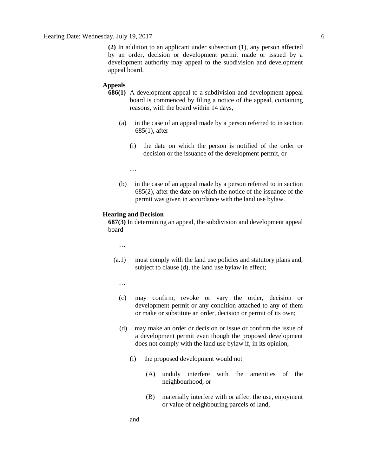**(2)** In addition to an applicant under subsection (1), any person affected by an order, decision or development permit made or issued by a development authority may appeal to the subdivision and development appeal board.

### **Appeals**

- **686(1)** A development appeal to a subdivision and development appeal board is commenced by filing a notice of the appeal, containing reasons, with the board within 14 days,
	- (a) in the case of an appeal made by a person referred to in section 685(1), after
		- (i) the date on which the person is notified of the order or decision or the issuance of the development permit, or
		- …
	- (b) in the case of an appeal made by a person referred to in section 685(2), after the date on which the notice of the issuance of the permit was given in accordance with the land use bylaw.

### **Hearing and Decision**

**687(3)** In determining an appeal, the subdivision and development appeal board

…

- (a.1) must comply with the land use policies and statutory plans and, subject to clause (d), the land use bylaw in effect;
	- …
	- (c) may confirm, revoke or vary the order, decision or development permit or any condition attached to any of them or make or substitute an order, decision or permit of its own;
	- (d) may make an order or decision or issue or confirm the issue of a development permit even though the proposed development does not comply with the land use bylaw if, in its opinion,
		- (i) the proposed development would not
			- (A) unduly interfere with the amenities of the neighbourhood, or
			- (B) materially interfere with or affect the use, enjoyment or value of neighbouring parcels of land,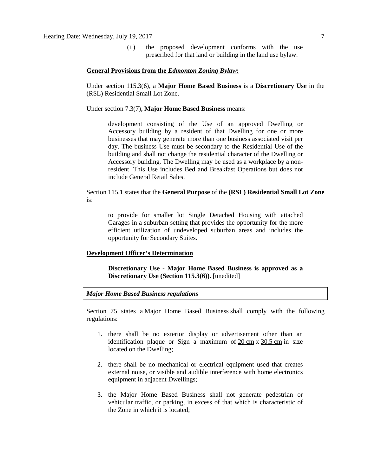(ii) the proposed development conforms with the use prescribed for that land or building in the land use bylaw.

### **General Provisions from the** *Edmonton Zoning Bylaw***:**

Under section 115.3(6), a **Major Home Based Business** is a **Discretionary Use** in the (RSL) Residential Small Lot Zone.

Under section 7.3(7), **Major Home Based Business** means:

development consisting of the Use of an approved Dwelling or Accessory building by a resident of that Dwelling for one or more businesses that may generate more than one business associated visit per day. The business Use must be secondary to the Residential Use of the building and shall not change the residential character of the Dwelling or Accessory building. The Dwelling may be used as a workplace by a nonresident. This Use includes Bed and Breakfast Operations but does not include General Retail Sales.

# Section 115.1 states that the **General Purpose** of the **(RSL) Residential Small Lot Zone** is:

to provide for smaller lot Single Detached Housing with attached Garages in a suburban setting that provides the opportunity for the more efficient utilization of undeveloped suburban areas and includes the opportunity for Secondary Suites.

#### **Development Officer's Determination**

**Discretionary Use - Major Home Based Business is approved as a Discretionary Use (Section 115.3(6)).** [unedited]

#### *Major Home Based Business regulations*

Section 75 states a [Major Home Based Business](javascript:void(0);) shall comply with the following regulations:

- 1. there shall be no exterior display or advertisement other than an identification plaque or Sign a maximum of 20 [cm](javascript:void(0);) x [30.5](javascript:void(0);) cm in size located on the Dwelling;
- 2. there shall be no mechanical or electrical equipment used that creates external noise, or visible and audible interference with home electronics equipment in adjacent Dwellings;
- 3. the Major Home Based Business shall not generate pedestrian or vehicular traffic, or parking, in excess of that which is characteristic of the Zone in which it is located;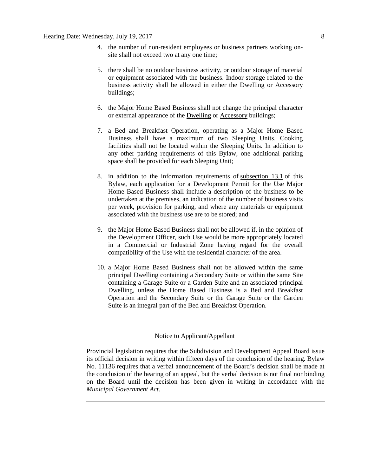- 4. the number of non-resident employees or business partners working onsite shall not exceed two at any one time;
- 5. there shall be no outdoor business activity, or outdoor storage of material or equipment associated with the business. Indoor storage related to the business activity shall be allowed in either the Dwelling or Accessory buildings;
- 6. the Major Home Based Business shall not change the principal character or external appearance of the [Dwelling](javascript:void(0);) or [Accessory](javascript:void(0);) buildings;
- 7. a Bed and Breakfast Operation, operating as a Major Home Based Business shall have a maximum of two Sleeping Units. Cooking facilities shall not be located within the Sleeping Units. In addition to any other parking requirements of this Bylaw, one additional parking space shall be provided for each Sleeping Unit;
- 8. in addition to the information requirements of [subsection 13.1](http://webdocs.edmonton.ca/InfraPlan/zoningbylaw/ZoningBylaw/Part1/Administrative/13__Development_Permit_Application.htm) of this Bylaw, each application for a Development Permit for the Use Major Home Based Business shall include a description of the business to be undertaken at the premises, an indication of the number of business visits per week, provision for parking, and where any materials or equipment associated with the business use are to be stored; and
- 9. the [Major Home Based Business](javascript:void(0);) shall not be allowed if, in the opinion of the Development Officer, such Use would be more appropriately located in a Commercial or Industrial Zone having regard for the overall compatibility of the Use with the residential character of the area.
- 10. a Major Home Based Business shall not be allowed within the same principal Dwelling containing a Secondary Suite or within the same Site containing a Garage Suite or a Garden Suite and an associated principal Dwelling, unless the Home Based Business is a Bed and Breakfast Operation and the Secondary Suite or the Garage Suite or the Garden Suite is an integral part of the Bed and Breakfast Operation.

### Notice to Applicant/Appellant

Provincial legislation requires that the Subdivision and Development Appeal Board issue its official decision in writing within fifteen days of the conclusion of the hearing. Bylaw No. 11136 requires that a verbal announcement of the Board's decision shall be made at the conclusion of the hearing of an appeal, but the verbal decision is not final nor binding on the Board until the decision has been given in writing in accordance with the *Municipal Government Act*.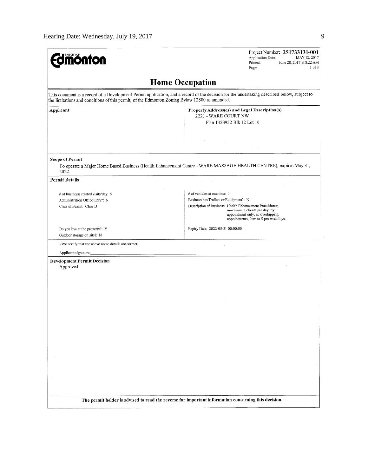| <b>nonton</b>                                                                                                                                                                                                                                | Project Number: 251733131-001<br><b>Application Date:</b><br>MAY 12, 2017<br>June 20, 2017 at 8:22 AM<br>Printed:<br>1 <sub>0</sub> f <sub>3</sub><br>Page:                                                                                     |  |  |  |  |  |  |  |
|----------------------------------------------------------------------------------------------------------------------------------------------------------------------------------------------------------------------------------------------|-------------------------------------------------------------------------------------------------------------------------------------------------------------------------------------------------------------------------------------------------|--|--|--|--|--|--|--|
| <b>Home Occupation</b>                                                                                                                                                                                                                       |                                                                                                                                                                                                                                                 |  |  |  |  |  |  |  |
| This document is a record of a Development Permit application, and a record of the decision for the undertaking described below, subject to<br>the limitations and conditions of this permit, of the Edmonton Zoning Bylaw 12800 as amended. |                                                                                                                                                                                                                                                 |  |  |  |  |  |  |  |
| Applicant                                                                                                                                                                                                                                    | Property Address(es) and Legal Description(s)<br>2221 - WARE COURT NW<br>Plan 1323952 Blk 12 Lot 10                                                                                                                                             |  |  |  |  |  |  |  |
| <b>Scope of Permit</b><br>2022.                                                                                                                                                                                                              | To operate a Major Home Based Business (Health Enhancement Centre - WARE MASSAGE HEALTH CENTRE), expires May 31,                                                                                                                                |  |  |  |  |  |  |  |
| <b>Permit Details</b>                                                                                                                                                                                                                        |                                                                                                                                                                                                                                                 |  |  |  |  |  |  |  |
| # of businesss related visits/day: 5<br>Administration Office Only?: N<br>Class of Permit: Class B                                                                                                                                           | # of vehicles at one time: 1<br>Business has Trailers or Equipment?: N<br>Description of Business: Health Enhancement Practitioner,<br>maximum 5 clients per day, by<br>appointment only, no overlapping<br>appointments, 9am to 5 pm weekdays. |  |  |  |  |  |  |  |
| Do you live at the property?: Y<br>Outdoor storage on site?: N                                                                                                                                                                               | Expiry Date: 2022-05-31 00:00:00                                                                                                                                                                                                                |  |  |  |  |  |  |  |
| I/We certify that the above noted details are correct.<br>Applicant signature:                                                                                                                                                               |                                                                                                                                                                                                                                                 |  |  |  |  |  |  |  |
| <b>Development Permit Decision</b><br>Approved                                                                                                                                                                                               |                                                                                                                                                                                                                                                 |  |  |  |  |  |  |  |
| The permit holder is advised to read the reverse for important information concerning this decision.                                                                                                                                         |                                                                                                                                                                                                                                                 |  |  |  |  |  |  |  |
|                                                                                                                                                                                                                                              |                                                                                                                                                                                                                                                 |  |  |  |  |  |  |  |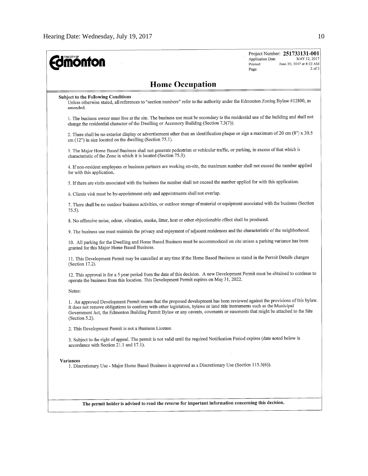| THE CITY OF<br><b>monton</b>                                                                                                                                                                                                                                                                                                                                                                                | Project Number: 251733131-001<br>Application Date:<br>MAY 12, 2017<br>June 20, 2017 at 8:22 AM<br>Printed:<br>$2$ of $3$<br>Page: |
|-------------------------------------------------------------------------------------------------------------------------------------------------------------------------------------------------------------------------------------------------------------------------------------------------------------------------------------------------------------------------------------------------------------|-----------------------------------------------------------------------------------------------------------------------------------|
| <b>Home Occupation</b>                                                                                                                                                                                                                                                                                                                                                                                      |                                                                                                                                   |
| <b>Subject to the Following Conditions</b><br>Unless otherwise stated, all references to "section numbers" refer to the authority under the Edmonton Zoning Bylaw #12800, as<br>amended.                                                                                                                                                                                                                    |                                                                                                                                   |
| 1. The business owner must live at the site. The business use must be secondary to the residential use of the building and shall not<br>change the residential character of the Dwelling or Accessory Building (Section 7.3(7)).                                                                                                                                                                            |                                                                                                                                   |
| 2. There shall be no exterior display or advertisement other than an identification plaque or sign a maximum of 20 cm (8") x 30.5<br>cm (12") in size located on the dwelling (Section 75.1).                                                                                                                                                                                                               |                                                                                                                                   |
| 3. The Major Home Based Business shall not generate pedestrian or vehicular traffic, or parking, in excess of that which is<br>characteristic of the Zone in which it is located (Section 75.3).                                                                                                                                                                                                            |                                                                                                                                   |
| 4. If non-resident employees or business partners are working on-site, the maximum number shall not exceed the number applied<br>for with this application.                                                                                                                                                                                                                                                 |                                                                                                                                   |
| 5. If there are visits associated with the business the number shall not exceed the number applied for with this application.                                                                                                                                                                                                                                                                               |                                                                                                                                   |
| 6. Clients visit must be by-appointment only and appointments shall not overlap.                                                                                                                                                                                                                                                                                                                            |                                                                                                                                   |
| 7. There shall be no outdoor business activities, or outdoor storage of material or equipment associated with the business (Section<br>$75.5$ ).                                                                                                                                                                                                                                                            |                                                                                                                                   |
| 8. No offensive noise, odour, vibration, smoke, litter, heat or other objectionable effect shall be produced.                                                                                                                                                                                                                                                                                               |                                                                                                                                   |
| 9. The business use must maintain the privacy and enjoyment of adjacent residences and the characteristic of the neighborhood.                                                                                                                                                                                                                                                                              |                                                                                                                                   |
| 10. All parking for the Dwelling and Home Based Business must be accommodated on site unless a parking variance has been<br>granted for this Major Home Based Business.                                                                                                                                                                                                                                     |                                                                                                                                   |
| 11. This Development Permit may be cancelled at any time if the Home Based Business as stated in the Permit Details changes<br>(Section 17.2).                                                                                                                                                                                                                                                              |                                                                                                                                   |
| 12. This approval is for a 5 year period from the date of this decision. A new Development Permit must be obtained to continue to<br>operate the business from this location. This Development Permit expires on May 31, 2022.                                                                                                                                                                              |                                                                                                                                   |
| Notes:                                                                                                                                                                                                                                                                                                                                                                                                      |                                                                                                                                   |
| 1. An approved Development Permit means that the proposed development has been reviewed against the provisions of this bylaw.<br>It does not remove obligations to conform with other legislation, bylaws or land title instruments such as the Municipal<br>Government Act, the Edmonton Building Permit Bylaw or any caveats, covenants or easements that might be attached to the Site<br>(Section 5.2). |                                                                                                                                   |
| 2. This Development Permit is not a Business License.                                                                                                                                                                                                                                                                                                                                                       |                                                                                                                                   |
| 3. Subject to the right of appeal. The permit is not valid until the required Notification Period expires (date noted below in<br>accordance with Section 21.1 and 17.1).                                                                                                                                                                                                                                   |                                                                                                                                   |
| Variances<br>1. Discretionary Use - Major Home Based Business is approved as a Discretionary Use (Section 115.3(6)).                                                                                                                                                                                                                                                                                        |                                                                                                                                   |
|                                                                                                                                                                                                                                                                                                                                                                                                             |                                                                                                                                   |
| The permit holder is advised to read the reverse for important information concerning this decision.                                                                                                                                                                                                                                                                                                        |                                                                                                                                   |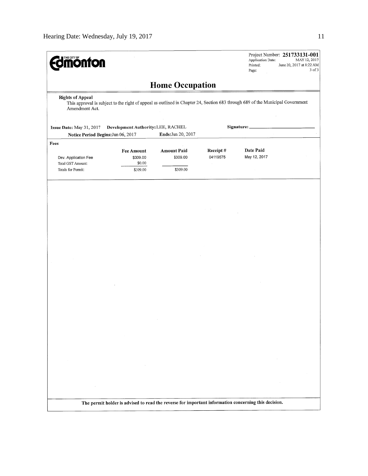| <b>monton</b>                                                                                                                                                               | Application Date:<br>Printed:<br>Page: | Project Number: 251733131-001<br>MAY 12, 2017<br>June 20, 2017 at 8:22 AM<br>3 of 3                  |                      |                           |  |  |  |  |  |  |  |
|-----------------------------------------------------------------------------------------------------------------------------------------------------------------------------|----------------------------------------|------------------------------------------------------------------------------------------------------|----------------------|---------------------------|--|--|--|--|--|--|--|
| <b>Home Occupation</b>                                                                                                                                                      |                                        |                                                                                                      |                      |                           |  |  |  |  |  |  |  |
| <b>Rights of Appeal</b><br>This approval is subject to the right of appeal as outlined in Chapter 24, Section 683 through 689 of the Municipal Government<br>Amendment Act. |                                        |                                                                                                      |                      |                           |  |  |  |  |  |  |  |
| Development Authority: LEE, RACHEL<br>Issue Date: May 31, 2017                                                                                                              |                                        |                                                                                                      | Signature:           |                           |  |  |  |  |  |  |  |
| Notice Period Begins: Jun 06, 2017                                                                                                                                          |                                        | Ends: Jun 20, 2017                                                                                   |                      |                           |  |  |  |  |  |  |  |
| Fees                                                                                                                                                                        |                                        |                                                                                                      |                      |                           |  |  |  |  |  |  |  |
|                                                                                                                                                                             | <b>Fee Amount</b>                      | <b>Amount Paid</b>                                                                                   | Receipt#<br>04119575 | Date Paid<br>May 12, 2017 |  |  |  |  |  |  |  |
| Dev. Application Fee<br>Total GST Amount:                                                                                                                                   | \$309.00<br>\$0.00                     | \$309.00                                                                                             |                      |                           |  |  |  |  |  |  |  |
| Totals for Permit:                                                                                                                                                          | \$309.00                               | \$309.00                                                                                             |                      |                           |  |  |  |  |  |  |  |
|                                                                                                                                                                             |                                        |                                                                                                      |                      |                           |  |  |  |  |  |  |  |
|                                                                                                                                                                             |                                        |                                                                                                      |                      |                           |  |  |  |  |  |  |  |
|                                                                                                                                                                             |                                        |                                                                                                      |                      |                           |  |  |  |  |  |  |  |
|                                                                                                                                                                             |                                        |                                                                                                      |                      |                           |  |  |  |  |  |  |  |
|                                                                                                                                                                             |                                        |                                                                                                      |                      |                           |  |  |  |  |  |  |  |
|                                                                                                                                                                             |                                        |                                                                                                      |                      |                           |  |  |  |  |  |  |  |
|                                                                                                                                                                             |                                        |                                                                                                      |                      |                           |  |  |  |  |  |  |  |
|                                                                                                                                                                             |                                        |                                                                                                      |                      |                           |  |  |  |  |  |  |  |
|                                                                                                                                                                             |                                        |                                                                                                      |                      |                           |  |  |  |  |  |  |  |
|                                                                                                                                                                             |                                        |                                                                                                      |                      |                           |  |  |  |  |  |  |  |
|                                                                                                                                                                             |                                        |                                                                                                      |                      |                           |  |  |  |  |  |  |  |
|                                                                                                                                                                             |                                        |                                                                                                      |                      |                           |  |  |  |  |  |  |  |
|                                                                                                                                                                             |                                        |                                                                                                      |                      |                           |  |  |  |  |  |  |  |
|                                                                                                                                                                             |                                        |                                                                                                      |                      |                           |  |  |  |  |  |  |  |
|                                                                                                                                                                             |                                        |                                                                                                      |                      |                           |  |  |  |  |  |  |  |
|                                                                                                                                                                             |                                        |                                                                                                      |                      |                           |  |  |  |  |  |  |  |
|                                                                                                                                                                             |                                        |                                                                                                      |                      |                           |  |  |  |  |  |  |  |
|                                                                                                                                                                             |                                        |                                                                                                      |                      |                           |  |  |  |  |  |  |  |
|                                                                                                                                                                             |                                        |                                                                                                      |                      |                           |  |  |  |  |  |  |  |
|                                                                                                                                                                             |                                        |                                                                                                      |                      |                           |  |  |  |  |  |  |  |
|                                                                                                                                                                             |                                        |                                                                                                      |                      |                           |  |  |  |  |  |  |  |
|                                                                                                                                                                             |                                        |                                                                                                      |                      |                           |  |  |  |  |  |  |  |
|                                                                                                                                                                             |                                        |                                                                                                      |                      |                           |  |  |  |  |  |  |  |
|                                                                                                                                                                             |                                        |                                                                                                      |                      |                           |  |  |  |  |  |  |  |
|                                                                                                                                                                             |                                        |                                                                                                      |                      |                           |  |  |  |  |  |  |  |
|                                                                                                                                                                             |                                        |                                                                                                      |                      |                           |  |  |  |  |  |  |  |
|                                                                                                                                                                             |                                        |                                                                                                      |                      |                           |  |  |  |  |  |  |  |
|                                                                                                                                                                             |                                        |                                                                                                      |                      |                           |  |  |  |  |  |  |  |
|                                                                                                                                                                             |                                        |                                                                                                      |                      |                           |  |  |  |  |  |  |  |
|                                                                                                                                                                             |                                        | The permit holder is advised to read the reverse for important information concerning this decision. |                      |                           |  |  |  |  |  |  |  |
|                                                                                                                                                                             |                                        |                                                                                                      |                      |                           |  |  |  |  |  |  |  |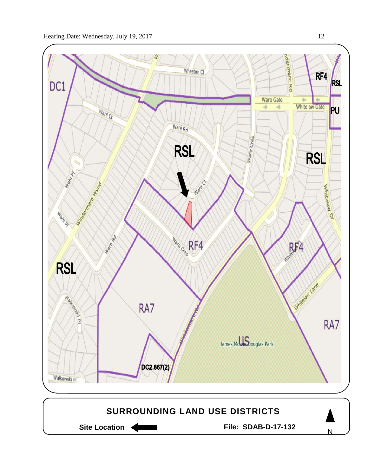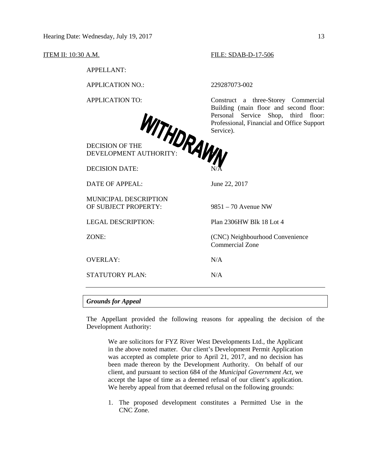APPELLANT:

APPLICATION NO.: 229287073-002

DECISION OF THE DEVELOPMENT AUTHORITY:

DECISION DATE: N/A

DATE OF APPEAL: June 22, 2017

MUNICIPAL DESCRIPTION OF SUBJECT PROPERTY: 9851 – 70 Avenue NW

STATUTORY PLAN: N/A

#### ITEM II: 10:30 A.M. FILE: SDAB-D-17-506

APPLICATION TO: Construct a three-Storey Commercial Building (main floor and second floor: Personal Service Shop, third floor: Professional, Financial and Office Support Service).

LEGAL DESCRIPTION: Plan 2306HW Blk 18 Lot 4 ZONE: (CNC) Neighbourhood Convenience Commercial Zone

OVERLAY: N/A

#### *Grounds for Appeal*

The Appellant provided the following reasons for appealing the decision of the Development Authority:

We are solicitors for FYZ River West Developments Ltd., the Applicant in the above noted matter. Our client's Development Permit Application was accepted as complete prior to April 21, 2017, and no decision has been made thereon by the Development Authority. On behalf of our client, and pursuant to section 684 of the *Municipal Government Act*, we accept the lapse of time as a deemed refusal of our client's application. We hereby appeal from that deemed refusal on the following grounds:

1. The proposed development constitutes a Permitted Use in the CNC Zone.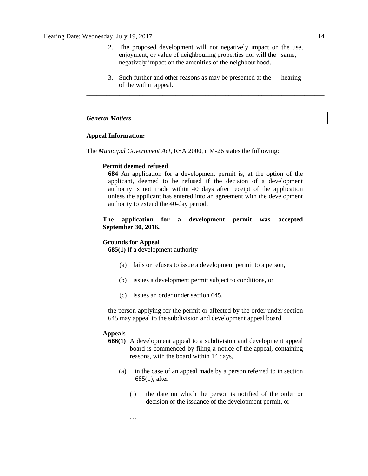- 2. The proposed development will not negatively impact on the use, enjoyment, or value of neighbouring properties nor will the same, negatively impact on the amenities of the neighbourhood.
- 3. Such further and other reasons as may be presented at the hearing of the within appeal. \_\_\_\_\_\_\_\_\_\_\_\_\_\_\_\_\_\_\_\_\_\_\_\_\_\_\_\_\_\_\_\_\_\_\_\_\_\_\_\_\_\_\_\_\_\_\_\_\_\_\_\_\_\_\_\_\_\_\_\_\_\_\_\_\_\_\_\_\_\_\_\_

# *General Matters*

# **Appeal Information:**

The *Municipal Government Act*, RSA 2000, c M-26 states the following:

#### **Permit deemed refused**

**684** An application for a development permit is, at the option of the applicant, deemed to be refused if the decision of a development authority is not made within 40 days after receipt of the application unless the applicant has entered into an agreement with the development authority to extend the 40-day period.

# **The application for a development permit was accepted September 30, 2016.**

#### **Grounds for Appeal**

**685(1)** If a development authority

- (a) fails or refuses to issue a development permit to a person,
- (b) issues a development permit subject to conditions, or
- (c) issues an order under section 645,

the person applying for the permit or affected by the order under section 645 may appeal to the subdivision and development appeal board.

#### **Appeals**

- **686(1)** A development appeal to a subdivision and development appeal board is commenced by filing a notice of the appeal, containing reasons, with the board within 14 days,
	- (a) in the case of an appeal made by a person referred to in section 685(1), after
		- (i) the date on which the person is notified of the order or decision or the issuance of the development permit, or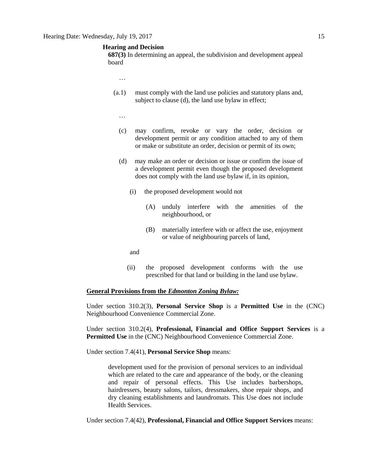#### **Hearing and Decision**

**687(3)** In determining an appeal, the subdivision and development appeal board

- …
- (a.1) must comply with the land use policies and statutory plans and, subject to clause (d), the land use bylaw in effect;
	- …
	- (c) may confirm, revoke or vary the order, decision or development permit or any condition attached to any of them or make or substitute an order, decision or permit of its own;
	- (d) may make an order or decision or issue or confirm the issue of a development permit even though the proposed development does not comply with the land use bylaw if, in its opinion,
		- (i) the proposed development would not
			- (A) unduly interfere with the amenities of the neighbourhood, or
			- (B) materially interfere with or affect the use, enjoyment or value of neighbouring parcels of land,
		- and
		- (ii) the proposed development conforms with the use prescribed for that land or building in the land use bylaw.

#### **General Provisions from the** *Edmonton Zoning Bylaw:*

Under section 310.2(3), **Personal Service Shop** is a **Permitted Use** in the (CNC) Neighbourhood Convenience Commercial Zone.

Under section 310.2(4), **Professional, Financial and Office Support Services** is a **Permitted Use** in the (CNC) Neighbourhood Convenience Commercial Zone.

Under section 7.4(41), **Personal Service Shop** means:

development used for the provision of personal services to an individual which are related to the care and appearance of the body, or the cleaning and repair of personal effects. This Use includes barbershops, hairdressers, beauty salons, tailors, dressmakers, shoe repair shops, and dry cleaning establishments and laundromats. This Use does not include Health Services.

Under section 7.4(42), **Professional, Financial and Office Support Services** means: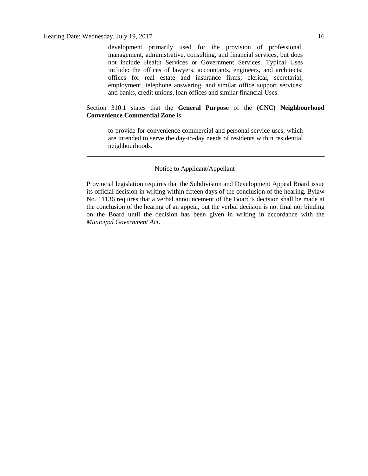development primarily used for the provision of professional, management, administrative, consulting, and financial services, but does not include Health Services or Government Services. Typical Uses include: the offices of lawyers, accountants, engineers, and architects; offices for real estate and insurance firms; clerical, secretarial, employment, telephone answering, and similar office support services; and banks, credit unions, loan offices and similar financial Uses.

# Section 310.1 states that the **General Purpose** of the **(CNC) Neighbourhood Convenience Commercial Zone** is:

to provide for convenience commercial and personal service uses, which are intended to serve the day-to-day needs of residents within residential neighbourhoods.

# Notice to Applicant/Appellant

Provincial legislation requires that the Subdivision and Development Appeal Board issue its official decision in writing within fifteen days of the conclusion of the hearing. Bylaw No. 11136 requires that a verbal announcement of the Board's decision shall be made at the conclusion of the hearing of an appeal, but the verbal decision is not final nor binding on the Board until the decision has been given in writing in accordance with the *Municipal Government Act*.